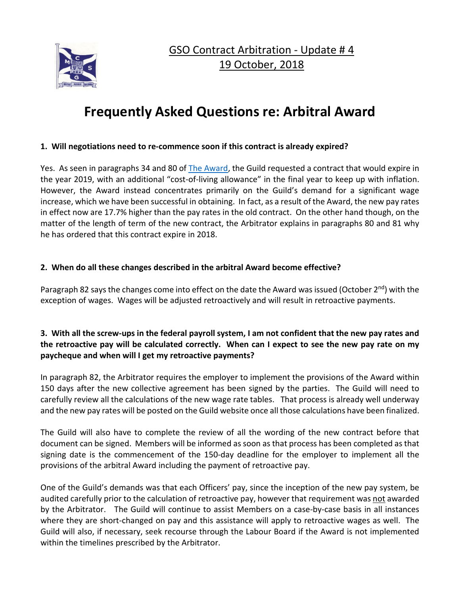

GSO Contract Arbitration - Update # 4 19 October, 2018

# **Frequently Asked Questions re: Arbitral Award**

#### **1. Will negotiations need to re-commence soon if this contract is already expired?**

Yes. As seen in paragraphs 34 and 80 of [The Award,](http://www.cmsg-gmmc.ca/download/GSO-Arbitration-Update-3-Arbitral-Award-Released-2-October-2018.pdf) the Guild requested a contract that would expire in the year 2019, with an additional "cost-of-living allowance" in the final year to keep up with inflation. However, the Award instead concentrates primarily on the Guild's demand for a significant wage increase, which we have been successful in obtaining. In fact, as a result of the Award, the new pay rates in effect now are 17.7% higher than the pay rates in the old contract. On the other hand though, on the matter of the length of term of the new contract, the Arbitrator explains in paragraphs 80 and 81 why he has ordered that this contract expire in 2018.

#### **2. When do all these changes described in the arbitral Award become effective?**

Paragraph 82 says the changes come into effect on the date the Award was issued (October  $2^{nd}$ ) with the exception of wages. Wages will be adjusted retroactively and will result in retroactive payments.

# **3. With all the screw-ups in the federal payroll system, I am not confident that the new pay rates and the retroactive pay will be calculated correctly. When can I expect to see the new pay rate on my paycheque and when will I get my retroactive payments?**

In paragraph 82, the Arbitrator requires the employer to implement the provisions of the Award within 150 days after the new collective agreement has been signed by the parties. The Guild will need to carefully review all the calculations of the new wage rate tables. That process is already well underway and the new pay rates will be posted on the Guild website once all those calculations have been finalized.

The Guild will also have to complete the review of all the wording of the new contract before that document can be signed. Members will be informed as soon as that process has been completed as that signing date is the commencement of the 150-day deadline for the employer to implement all the provisions of the arbitral Award including the payment of retroactive pay.

One of the Guild's demands was that each Officers' pay, since the inception of the new pay system, be audited carefully prior to the calculation of retroactive pay, however that requirement was not awarded by the Arbitrator. The Guild will continue to assist Members on a case-by-case basis in all instances where they are short-changed on pay and this assistance will apply to retroactive wages as well. The Guild will also, if necessary, seek recourse through the Labour Board if the Award is not implemented within the timelines prescribed by the Arbitrator.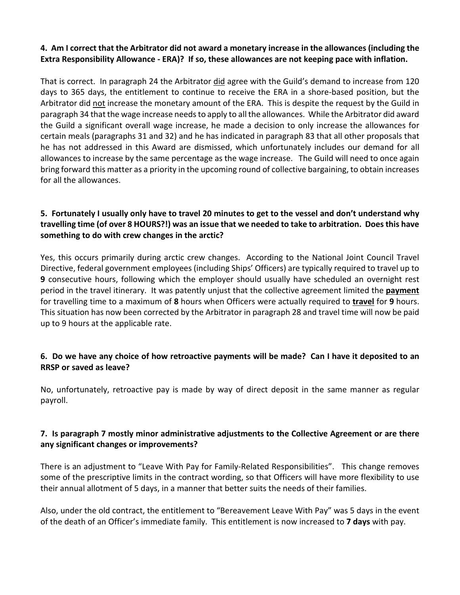## **4. Am I correct that the Arbitrator did not award a monetary increase in the allowances (including the Extra Responsibility Allowance - ERA)? If so, these allowances are not keeping pace with inflation.**

That is correct. In paragraph 24 the Arbitrator did agree with the Guild's demand to increase from 120 days to 365 days, the entitlement to continue to receive the ERA in a shore-based position, but the Arbitrator did not increase the monetary amount of the ERA. This is despite the request by the Guild in paragraph 34 that the wage increase needs to apply to all the allowances. While the Arbitrator did award the Guild a significant overall wage increase, he made a decision to only increase the allowances for certain meals (paragraphs 31 and 32) and he has indicated in paragraph 83 that all other proposals that he has not addressed in this Award are dismissed, which unfortunately includes our demand for all allowances to increase by the same percentage as the wage increase. The Guild will need to once again bring forward this matter as a priority in the upcoming round of collective bargaining, to obtain increases for all the allowances.

# **5. Fortunately I usually only have to travel 20 minutes to get to the vessel and don't understand why travelling time (of over 8 HOURS?!) was an issue that we needed to take to arbitration. Does this have something to do with crew changes in the arctic?**

Yes, this occurs primarily during arctic crew changes. According to the National Joint Council Travel Directive, federal government employees (including Ships' Officers) are typically required to travel up to **9** consecutive hours, following which the employer should usually have scheduled an overnight rest period in the travel itinerary. It was patently unjust that the collective agreement limited the **payment** for travelling time to a maximum of **8** hours when Officers were actually required to **travel** for **9** hours. This situation has now been corrected by the Arbitrator in paragraph 28 and travel time will now be paid up to 9 hours at the applicable rate.

## **6. Do we have any choice of how retroactive payments will be made? Can I have it deposited to an RRSP or saved as leave?**

No, unfortunately, retroactive pay is made by way of direct deposit in the same manner as regular payroll.

## **7. Is paragraph 7 mostly minor administrative adjustments to the Collective Agreement or are there any significant changes or improvements?**

There is an adjustment to "Leave With Pay for Family-Related Responsibilities". This change removes some of the prescriptive limits in the contract wording, so that Officers will have more flexibility to use their annual allotment of 5 days, in a manner that better suits the needs of their families.

Also, under the old contract, the entitlement to "Bereavement Leave With Pay" was 5 days in the event of the death of an Officer's immediate family. This entitlement is now increased to **7 days** with pay.